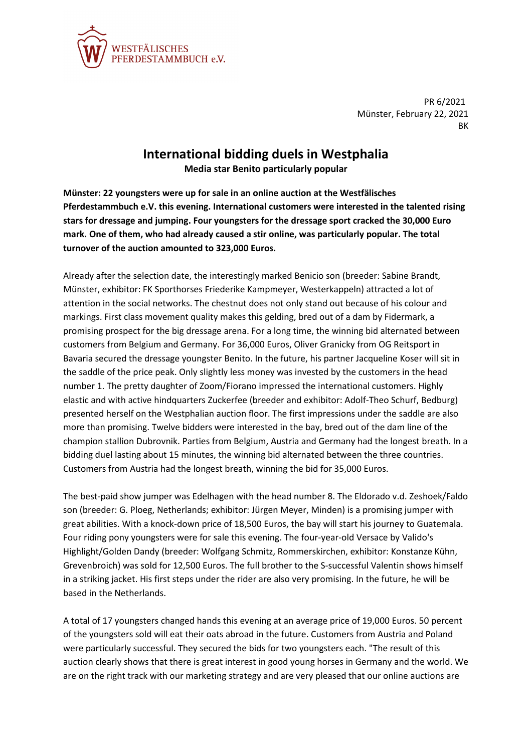

PR 6/2021 Münster, February 22, 2021 **RK** 

## **International bidding duels in Westphalia**

**Media star Benito particularly popular**

**Münster: 22 youngsters were up for sale in an online auction at the Westfälisches Pferdestammbuch e.V. this evening. International customers were interested in the talented rising stars for dressage and jumping. Four youngsters for the dressage sport cracked the 30,000 Euro mark. One of them, who had already caused a stir online, was particularly popular. The total turnover of the auction amounted to 323,000 Euros.**

Already after the selection date, the interestingly marked Benicio son (breeder: Sabine Brandt, Münster, exhibitor: FK Sporthorses Friederike Kampmeyer, Westerkappeln) attracted a lot of attention in the social networks. The chestnut does not only stand out because of his colour and markings. First class movement quality makes this gelding, bred out of a dam by Fidermark, a promising prospect for the big dressage arena. For a long time, the winning bid alternated between customers from Belgium and Germany. For 36,000 Euros, Oliver Granicky from OG Reitsport in Bavaria secured the dressage youngster Benito. In the future, his partner Jacqueline Koser will sit in the saddle of the price peak. Only slightly less money was invested by the customers in the head number 1. The pretty daughter of Zoom/Fiorano impressed the international customers. Highly elastic and with active hindquarters Zuckerfee (breeder and exhibitor: Adolf-Theo Schurf, Bedburg) presented herself on the Westphalian auction floor. The first impressions under the saddle are also more than promising. Twelve bidders were interested in the bay, bred out of the dam line of the champion stallion Dubrovnik. Parties from Belgium, Austria and Germany had the longest breath. In a bidding duel lasting about 15 minutes, the winning bid alternated between the three countries. Customers from Austria had the longest breath, winning the bid for 35,000 Euros.

The best-paid show jumper was Edelhagen with the head number 8. The Eldorado v.d. Zeshoek/Faldo son (breeder: G. Ploeg, Netherlands; exhibitor: Jürgen Meyer, Minden) is a promising jumper with great abilities. With a knock-down price of 18,500 Euros, the bay will start his journey to Guatemala. Four riding pony youngsters were for sale this evening. The four-year-old Versace by Valido's Highlight/Golden Dandy (breeder: Wolfgang Schmitz, Rommerskirchen, exhibitor: Konstanze Kühn, Grevenbroich) was sold for 12,500 Euros. The full brother to the S-successful Valentin shows himself in a striking jacket. His first steps under the rider are also very promising. In the future, he will be based in the Netherlands.

A total of 17 youngsters changed hands this evening at an average price of 19,000 Euros. 50 percent of the youngsters sold will eat their oats abroad in the future. Customers from Austria and Poland were particularly successful. They secured the bids for two youngsters each. "The result of this auction clearly shows that there is great interest in good young horses in Germany and the world. We are on the right track with our marketing strategy and are very pleased that our online auctions are